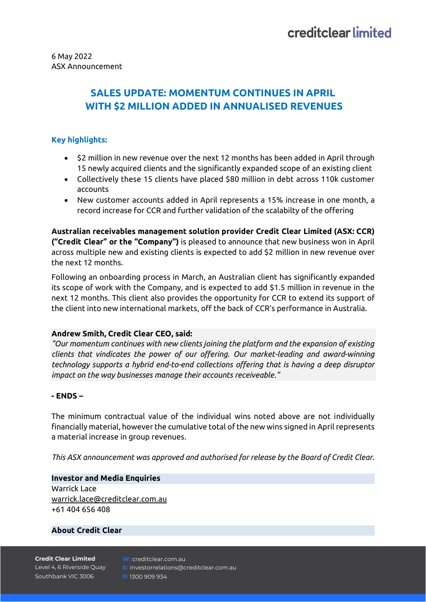# **SALES UPDATE: MOMENTUM CONTINUES IN APRIL WITH \$2 MILLION ADDED IN ANNUALISED REVENUES**

## **Key highlights:**

- \$2 million in new revenue over the next 12 months has been added in April through 15 newly acquired clients and the significantly expanded scope of an existing client
- Collectively these 15 clients have placed \$80 million in debt across 110k customer accounts
- New customer accounts added in April represents a 15% increase in one month, a record increase for CCR and further validation of the scalabilty of the offering

**Australian receivables management solution provider Credit Clear Limited (ASX: CCR) ("Credit Clear" or the "Company")** is pleased to announce that new business won in April across multiple new and existing clients is expected to add \$2 million in new revenue over the next 12 months.

Following an onboarding process in March, an Australian client has significantly expanded its scope of work with the Company, and is expected to add \$1.5 million in revenue in the next 12 months. This client also provides the opportunity for CCR to extend its support of the client into new international markets, off the back of CCR's performance in Australia.

#### **Andrew Smith, Credit Clear CEO, said:**

*"Our momentum continues with new clients joining the platform and the expansion of existing clients that vindicates the power of our offering. Our market-leading and award-winning technology supports a hybrid end-to-end collections offering that is having a deep disruptor impact on the way businesses manage their accounts receiveable."*

#### **- ENDS –**

The minimum contractual value of the individual wins noted above are not individually financially material, however the cumulative total of the new wins signed in April represents a material increase in group revenues.

*This ASX announcement was approved and authorised for release by the Board of Credit Clear.*

**Investor and Media Enquiries** Warrick Lace [warrick.lace@creditclear.com.au](mailto:warrick.lace@creditclear.com.au) +61 404 656 408

## **About Credit Clear**

**Credit Clear Limited** Level 4, 6 Riverside Quay Southbank VIC 3006

**W:** creditclear.com.au **E:** investorrelations@creditclear.com.au **P:** 1300 909 934